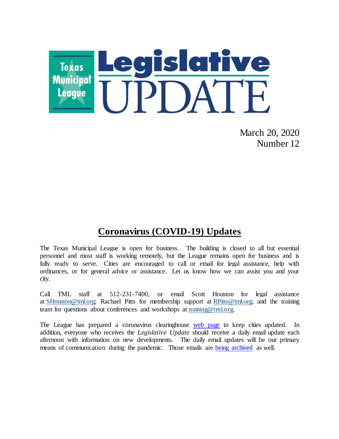

March 20, 2020 Number 12

## **Coronavirus (COVID-19) Updates**

The Texas Municipal League is open for business. The building is closed to all but essential personnel and most staff is working remotely, but the League remains open for business and is fully ready to serve. Cities are encouraged to call or email for legal assistance, help with ordinances, or for general advice or assistance. Let us know how we can assist you and your city.

Call TML staff at 512-231-7400, or email Scott Houston for legal assistance at [SHouston@tml.org;](mailto:SHouston@tml.org) Rachael Pitts for membership support at [RPitts@tml.org;](mailto:RPitts@tml.org) and the training team for questions about conferences and workshops at [training@tml.org.](mailto:training@tml.org)

The League has prepared a coronavirus clearinghouse [web page](https://www.tml.org/654/Coronavirus-COVID-19-Resources) to keep cities updated. In addition, everyone who receives the *Legislative Update* should receive a daily email update each afternoon with information on new developments. The daily email updates will be our primary means of communication during the pandemic. Those emails are [being archived](https://www.tml.org/Blog.aspx?CID=2) as well.